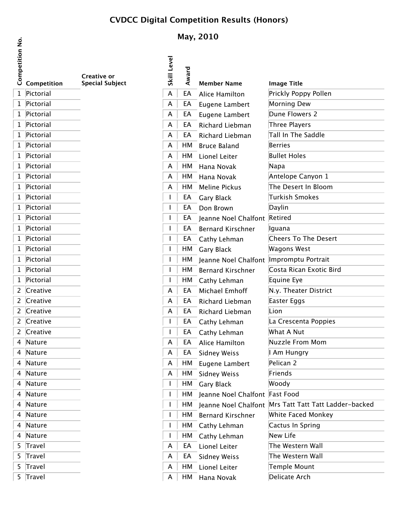## **CVDCC Digital Competition Results (Honors)**

**May, 2010**

**Competition No.**

| Competiti | Competition | <b>Creative or</b><br><b>Special Subject</b> | <b>Skill Level</b> | Award | <b>Member Name</b>             | <b>Image Title</b>                                      |
|-----------|-------------|----------------------------------------------|--------------------|-------|--------------------------------|---------------------------------------------------------|
|           | 1 Pictorial |                                              | A                  | EA    | Alice Hamilton                 | Prickly Poppy Pollen                                    |
|           | 1 Pictorial |                                              | A                  | EA    | Eugene Lambert                 | Morning Dew                                             |
|           | 1 Pictorial |                                              | A                  | EA    | Eugene Lambert                 | Dune Flowers 2                                          |
|           | 1 Pictorial |                                              | A                  | EA    | Richard Liebman                | Three Players                                           |
|           | 1 Pictorial |                                              | A                  | EA    | Richard Liebman                | Tall In The Saddle                                      |
|           | 1 Pictorial |                                              | A                  | HМ    | <b>Bruce Baland</b>            | <b>Berries</b>                                          |
|           | 1 Pictorial |                                              | A                  | HM    | Lionel Leiter                  | <b>Bullet Holes</b>                                     |
|           | 1 Pictorial |                                              | A                  | HМ    | Hana Novak                     | Napa                                                    |
|           | 1 Pictorial |                                              | A                  | HМ    | Hana Novak                     | Antelope Canyon 1                                       |
|           | 1 Pictorial |                                              | A                  | HM    | <b>Meline Pickus</b>           | The Desert In Bloom                                     |
|           | 1 Pictorial |                                              |                    | EA    | <b>Gary Black</b>              | Turkish Smokes                                          |
|           | 1 Pictorial |                                              |                    | EA    | Don Brown                      | Daylin                                                  |
|           | 1 Pictorial |                                              |                    | EA    | Jeanne Noel Chalfont Retired   |                                                         |
|           | 1 Pictorial |                                              |                    | EA    | <b>Bernard Kirschner</b>       | Iguana                                                  |
|           | 1 Pictorial |                                              |                    | EA    | Cathy Lehman                   | Cheers To The Desert                                    |
|           | 1 Pictorial |                                              |                    | HM    | <b>Gary Black</b>              | Wagons West                                             |
|           | 1 Pictorial |                                              |                    | HМ    | Jeanne Noel Chalfont           | Impromptu Portrait                                      |
|           | 1 Pictorial |                                              |                    | HМ    | <b>Bernard Kirschner</b>       | Costa Rican Exotic Bird                                 |
|           | 1 Pictorial |                                              |                    | HM    | Cathy Lehman                   | Equine Eye                                              |
|           | 2 Creative  |                                              | A                  | EA    | Michael Emhoff                 | N.y. Theater District                                   |
|           | 2 Creative  |                                              | A                  | EA    | Richard Liebman                | Easter Eggs                                             |
|           | 2 Creative  |                                              | A                  | EA    | Richard Liebman                | Lion                                                    |
|           | 2 Creative  |                                              |                    | EA    | Cathy Lehman                   | La Crescenta Poppies                                    |
|           | 2 Creative  |                                              |                    | EA    | Cathy Lehman                   | What A Nut                                              |
|           | 4 Nature    |                                              | A                  | EA    | Alice Hamilton                 | Nuzzle From Mom                                         |
|           | 4 Nature    |                                              | A                  | EA    | <b>Sidney Weiss</b>            | I Am Hungry                                             |
|           | 4 Nature    |                                              | A                  | HM    | Eugene Lambert                 | Pelican 2                                               |
|           | 4 Nature    |                                              | A                  | HM    | <b>Sidney Weiss</b>            | Friends                                                 |
|           | 4 Nature    |                                              |                    | HМ    | <b>Gary Black</b>              | Woody                                                   |
|           | 4 Nature    |                                              |                    | HM    | Jeanne Noel Chalfont Fast Food |                                                         |
|           | 4 Nature    |                                              |                    | HM    |                                | Jeanne Noel Chalfont   Mrs Tatt Tatt Tatt Ladder-backed |
|           | 4 Nature    |                                              |                    | HМ    | <b>Bernard Kirschner</b>       | White Faced Monkey                                      |
|           | 4 Nature    |                                              |                    | HM    | Cathy Lehman                   | Cactus In Spring                                        |
|           | 4 Nature    |                                              |                    | НM    | Cathy Lehman                   | New Life                                                |
|           | 5 Travel    |                                              | A                  | EA    | Lionel Leiter                  | The Western Wall                                        |
|           | 5 Travel    |                                              | A                  | EA    | <b>Sidney Weiss</b>            | The Western Wall                                        |
|           | 5 Travel    |                                              | A                  | HM    | Lionel Leiter                  | Temple Mount                                            |
|           | 5 Travel    |                                              | A                  | HМ    | Hana Novak                     | Delicate Arch                                           |